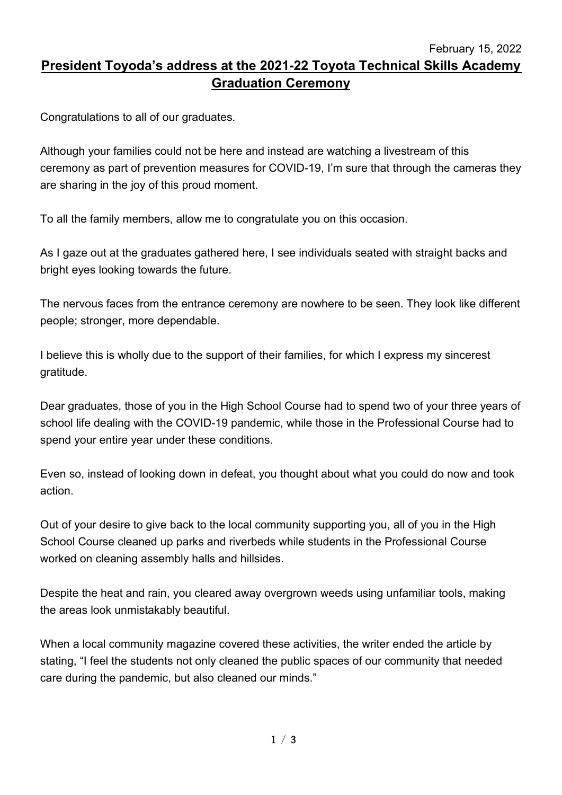February 15, 2022

## **President Toyoda's address at the 2021-22 Toyota Technical Skills Academy Graduation Ceremony**

Congratulations to all of our graduates.

Although your families could not be here and instead are watching a livestream of this ceremony as part of prevention measures for COVID-19, I'm sure that through the cameras they are sharing in the joy of this proud moment.

To all the family members, allow me to congratulate you on this occasion.

As I gaze out at the graduates gathered here, I see individuals seated with straight backs and bright eyes looking towards the future.

The nervous faces from the entrance ceremony are nowhere to be seen. They look like different people; stronger, more dependable.

I believe this is wholly due to the support of their families, for which I express my sincerest gratitude.

Dear graduates, those of you in the High School Course had to spend two of your three years of school life dealing with the COVID-19 pandemic, while those in the Professional Course had to spend your entire year under these conditions.

Even so, instead of looking down in defeat, you thought about what you could do now and took action.

Out of your desire to give back to the local community supporting you, all of you in the High School Course cleaned up parks and riverbeds while students in the Professional Course worked on cleaning assembly halls and hillsides.

Despite the heat and rain, you cleared away overgrown weeds using unfamiliar tools, making the areas look unmistakably beautiful.

When a local community magazine covered these activities, the writer ended the article by stating, "I feel the students not only cleaned the public spaces of our community that needed care during the pandemic, but also cleaned our minds."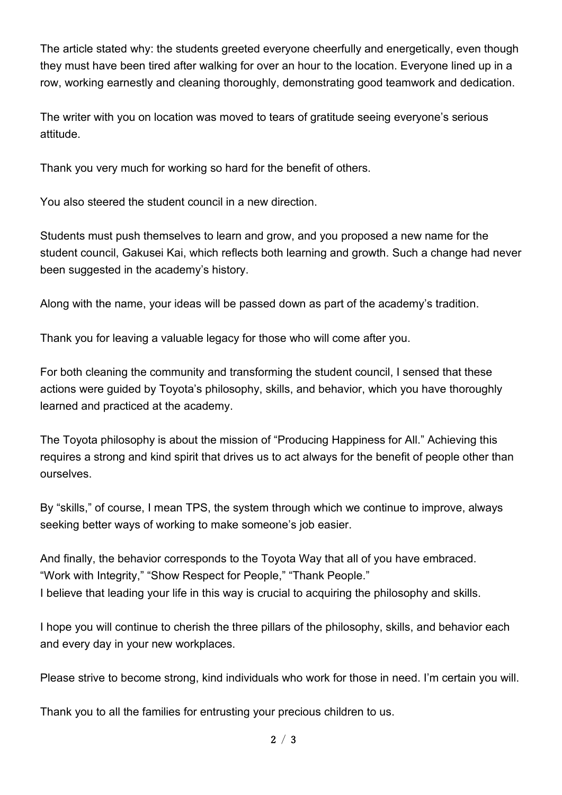The article stated why: the students greeted everyone cheerfully and energetically, even though they must have been tired after walking for over an hour to the location. Everyone lined up in a row, working earnestly and cleaning thoroughly, demonstrating good teamwork and dedication.

The writer with you on location was moved to tears of gratitude seeing everyone's serious attitude.

Thank you very much for working so hard for the benefit of others.

You also steered the student council in a new direction.

Students must push themselves to learn and grow, and you proposed a new name for the student council, Gakusei Kai, which reflects both learning and growth. Such a change had never been suggested in the academy's history.

Along with the name, your ideas will be passed down as part of the academy's tradition.

Thank you for leaving a valuable legacy for those who will come after you.

For both cleaning the community and transforming the student council, I sensed that these actions were guided by Toyota's philosophy, skills, and behavior, which you have thoroughly learned and practiced at the academy.

The Toyota philosophy is about the mission of "Producing Happiness for All." Achieving this requires a strong and kind spirit that drives us to act always for the benefit of people other than ourselves.

By "skills," of course, I mean TPS, the system through which we continue to improve, always seeking better ways of working to make someone's job easier.

And finally, the behavior corresponds to the Toyota Way that all of you have embraced. "Work with Integrity," "Show Respect for People," "Thank People." I believe that leading your life in this way is crucial to acquiring the philosophy and skills.

I hope you will continue to cherish the three pillars of the philosophy, skills, and behavior each and every day in your new workplaces.

Please strive to become strong, kind individuals who work for those in need. I'm certain you will.

Thank you to all the families for entrusting your precious children to us.